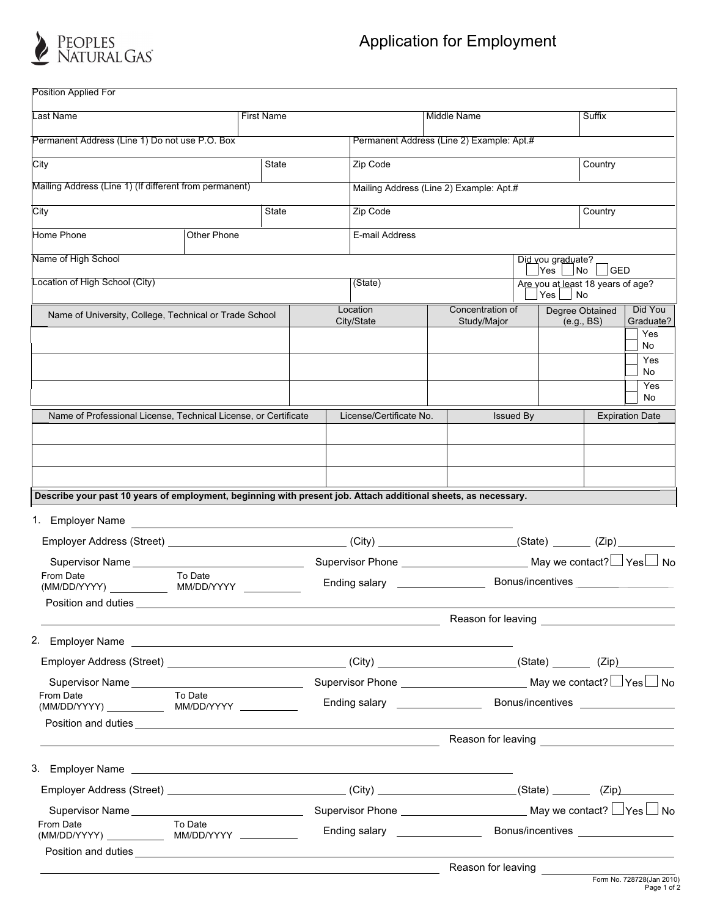

| <b>Position Applied For</b>                                                                                                                                                                                                          |                                                              |  |  |                                                                                                                       |                                |                                                   |                        |                        |                                    |  |
|--------------------------------------------------------------------------------------------------------------------------------------------------------------------------------------------------------------------------------------|--------------------------------------------------------------|--|--|-----------------------------------------------------------------------------------------------------------------------|--------------------------------|---------------------------------------------------|------------------------|------------------------|------------------------------------|--|
| Last Name                                                                                                                                                                                                                            | <b>First Name</b>                                            |  |  | Middle Name                                                                                                           |                                |                                                   | Suffix                 |                        |                                    |  |
| Permanent Address (Line 1) Do not use P.O. Box                                                                                                                                                                                       |                                                              |  |  | Permanent Address (Line 2) Example: Apt.#                                                                             |                                |                                                   |                        |                        |                                    |  |
| City<br><b>State</b>                                                                                                                                                                                                                 |                                                              |  |  | Zip Code                                                                                                              |                                |                                                   |                        | Country                |                                    |  |
| Mailing Address (Line 1) (If different from permanent)                                                                                                                                                                               |                                                              |  |  | Mailing Address (Line 2) Example: Apt.#                                                                               |                                |                                                   |                        |                        |                                    |  |
| City<br><b>State</b>                                                                                                                                                                                                                 |                                                              |  |  | Zip Code<br>Country                                                                                                   |                                |                                                   |                        |                        |                                    |  |
| Home Phone                                                                                                                                                                                                                           | Other Phone                                                  |  |  | E-mail Address                                                                                                        |                                |                                                   |                        |                        |                                    |  |
|                                                                                                                                                                                                                                      |                                                              |  |  |                                                                                                                       |                                |                                                   |                        |                        |                                    |  |
| Name of High School                                                                                                                                                                                                                  |                                                              |  |  |                                                                                                                       |                                | Did you graduate?<br> Yes                         | N <sub>O</sub>         | GED                    |                                    |  |
| Location of High School (City)                                                                                                                                                                                                       |                                                              |  |  | (State)                                                                                                               |                                | Are you at least 18 years of age?<br>Yes  <br>∣No |                        |                        |                                    |  |
| Name of University, College, Technical or Trade School                                                                                                                                                                               |                                                              |  |  | Location                                                                                                              | Concentration of               |                                                   | <b>Degree Obtained</b> |                        | Did You                            |  |
|                                                                                                                                                                                                                                      |                                                              |  |  | City/State                                                                                                            | Study/Major                    |                                                   | (e.g., BS)             |                        | Graduate?<br>Yes                   |  |
|                                                                                                                                                                                                                                      |                                                              |  |  |                                                                                                                       |                                |                                                   |                        |                        | No<br>Yes                          |  |
|                                                                                                                                                                                                                                      |                                                              |  |  |                                                                                                                       |                                |                                                   |                        |                        | No                                 |  |
|                                                                                                                                                                                                                                      |                                                              |  |  |                                                                                                                       |                                |                                                   |                        |                        | Yes<br>No                          |  |
| Name of Professional License, Technical License, or Certificate                                                                                                                                                                      |                                                              |  |  | License/Certificate No.                                                                                               |                                | <b>Issued By</b>                                  |                        | <b>Expiration Date</b> |                                    |  |
|                                                                                                                                                                                                                                      |                                                              |  |  |                                                                                                                       |                                |                                                   |                        |                        |                                    |  |
|                                                                                                                                                                                                                                      |                                                              |  |  |                                                                                                                       |                                |                                                   |                        |                        |                                    |  |
|                                                                                                                                                                                                                                      |                                                              |  |  |                                                                                                                       |                                |                                                   |                        |                        |                                    |  |
| Describe your past 10 years of employment, beginning with present job. Attach additional sheets, as necessary.                                                                                                                       |                                                              |  |  |                                                                                                                       |                                |                                                   |                        |                        |                                    |  |
| 1. Employer Name                                                                                                                                                                                                                     | <u> 1980 - Jan Sterling Sterling, amerikansk politiker (</u> |  |  |                                                                                                                       |                                |                                                   |                        |                        |                                    |  |
|                                                                                                                                                                                                                                      |                                                              |  |  | (City) _________________________________(State) __________(Zip) ________________                                      |                                |                                                   |                        |                        |                                    |  |
| Supervisor Name                                                                                                                                                                                                                      |                                                              |  |  |                                                                                                                       |                                |                                                   |                        |                        |                                    |  |
| From Date<br>(MM/DD/YYYY)                                                                                                                                                                                                            | To Date<br>MM/DD/YYYY                                        |  |  | Bonus/incentives<br>Ending salary ________________                                                                    |                                |                                                   |                        |                        |                                    |  |
| Position and duties                                                                                                                                                                                                                  |                                                              |  |  |                                                                                                                       |                                |                                                   |                        |                        |                                    |  |
|                                                                                                                                                                                                                                      |                                                              |  |  | <u> 1980 - Johann Stoff, deutscher Stoff, der Stoff, der Stoff, der Stoff, der Stoff, der Stoff, der Stoff, der S</u> |                                |                                                   |                        |                        |                                    |  |
| 2. Employer Name et al. 2016. The contract of the contract of the contract of the contract of the contract of the contract of the contract of the contract of the contract of the contract of the contract of the contract of        |                                                              |  |  |                                                                                                                       |                                |                                                   |                        |                        |                                    |  |
|                                                                                                                                                                                                                                      |                                                              |  |  |                                                                                                                       |                                |                                                   |                        |                        |                                    |  |
| From Date                                                                                                                                                                                                                            |                                                              |  |  |                                                                                                                       |                                |                                                   |                        |                        |                                    |  |
|                                                                                                                                                                                                                                      | To Date                                                      |  |  |                                                                                                                       | Ending salary ________________ |                                                   | Bonus/incentives       |                        |                                    |  |
| Position and duties <u>experience and a series of the series of the series of the series of the series of the series of the series of the series of the series of the series of the series of the series of the series of the se</u> |                                                              |  |  |                                                                                                                       |                                |                                                   |                        |                        |                                    |  |
|                                                                                                                                                                                                                                      |                                                              |  |  | <u> 1980 - Johann Barbara, martxa amerikan personal (h. 1980).</u>                                                    |                                |                                                   |                        |                        |                                    |  |
|                                                                                                                                                                                                                                      |                                                              |  |  |                                                                                                                       |                                |                                                   |                        |                        |                                    |  |
|                                                                                                                                                                                                                                      |                                                              |  |  |                                                                                                                       |                                |                                                   |                        |                        |                                    |  |
|                                                                                                                                                                                                                                      |                                                              |  |  |                                                                                                                       |                                |                                                   |                        |                        |                                    |  |
| From Date                                                                                                                                                                                                                            | To Date                                                      |  |  | Ending salary <u>example and the sales of</u>                                                                         |                                |                                                   |                        |                        | Bonus/incentives _________________ |  |
|                                                                                                                                                                                                                                      |                                                              |  |  |                                                                                                                       |                                |                                                   |                        |                        |                                    |  |
|                                                                                                                                                                                                                                      |                                                              |  |  |                                                                                                                       | Reason for leaving             |                                                   |                        |                        |                                    |  |